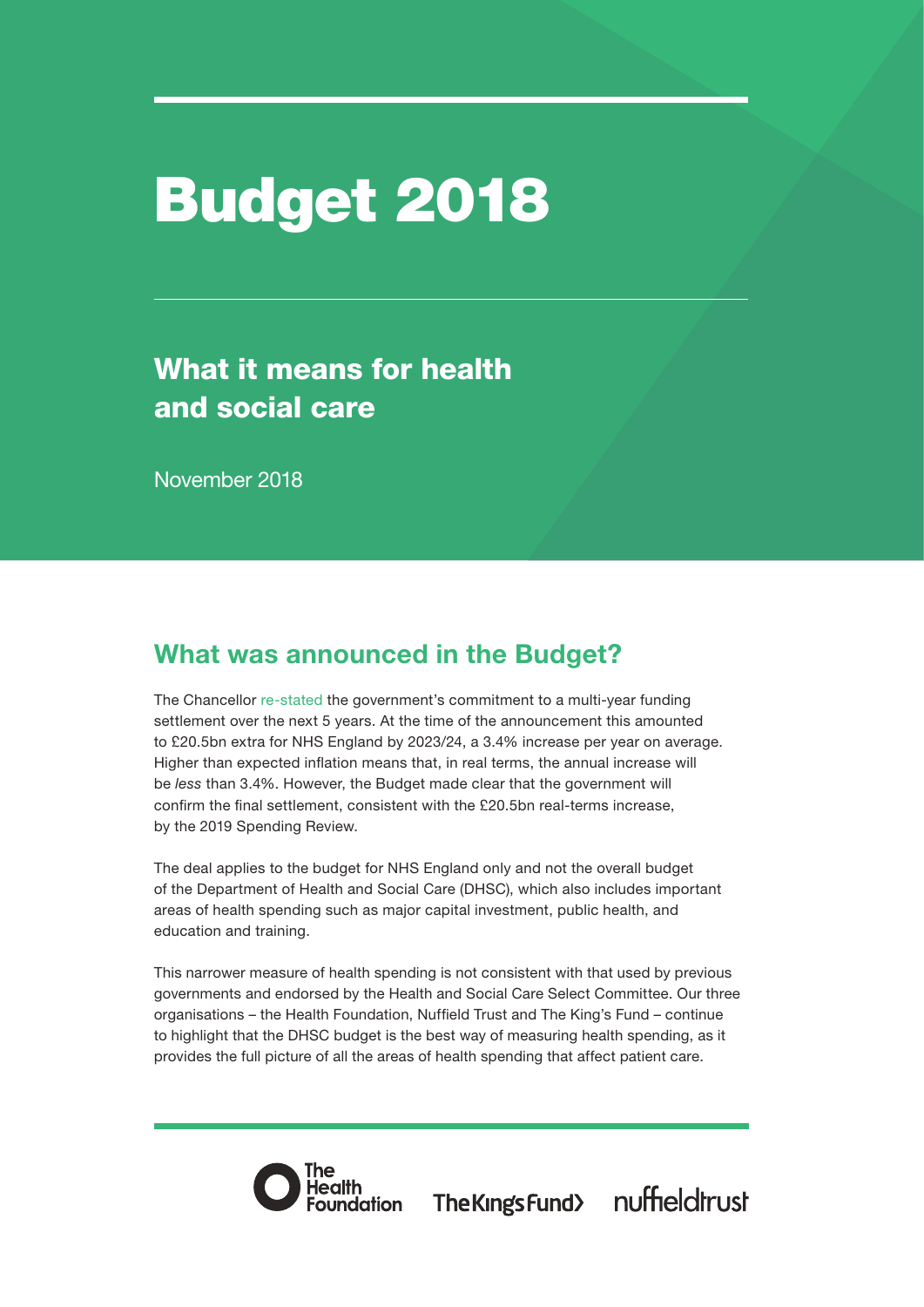# Budget 2018

# What it means for health and social care

November 2018

# What was announced in the Budget?

The Chancellor [re-stated](https://www.gov.uk/government/publications/budget-2018-documents/budget-2018) the government's commitment to a multi-year funding settlement over the next 5 years. At the time of the announcement this amounted to £20.5bn extra for NHS England by 2023/24, a 3.4% increase per year on average. Higher than expected inflation means that, in real terms, the annual increase will be *less* than 3.4%. However, the Budget made clear that the government will confirm the final settlement, consistent with the £20.5bn real-terms increase, by the 2019 Spending Review.

The deal applies to the budget for NHS England only and not the overall budget of the Department of Health and Social Care (DHSC), which also includes important areas of health spending such as major capital investment, public health, and education and training.

This narrower measure of health spending is not consistent with that used by previous governments and endorsed by the Health and Social Care Select Committee. Our three organisations – the Health Foundation, Nuffield Trust and The King's Fund – continue to highlight that the DHSC budget is the best way of measuring health spending, as it provides the full picture of all the areas of health spending that affect patient care.



The Kings Fund> nuffieldtrust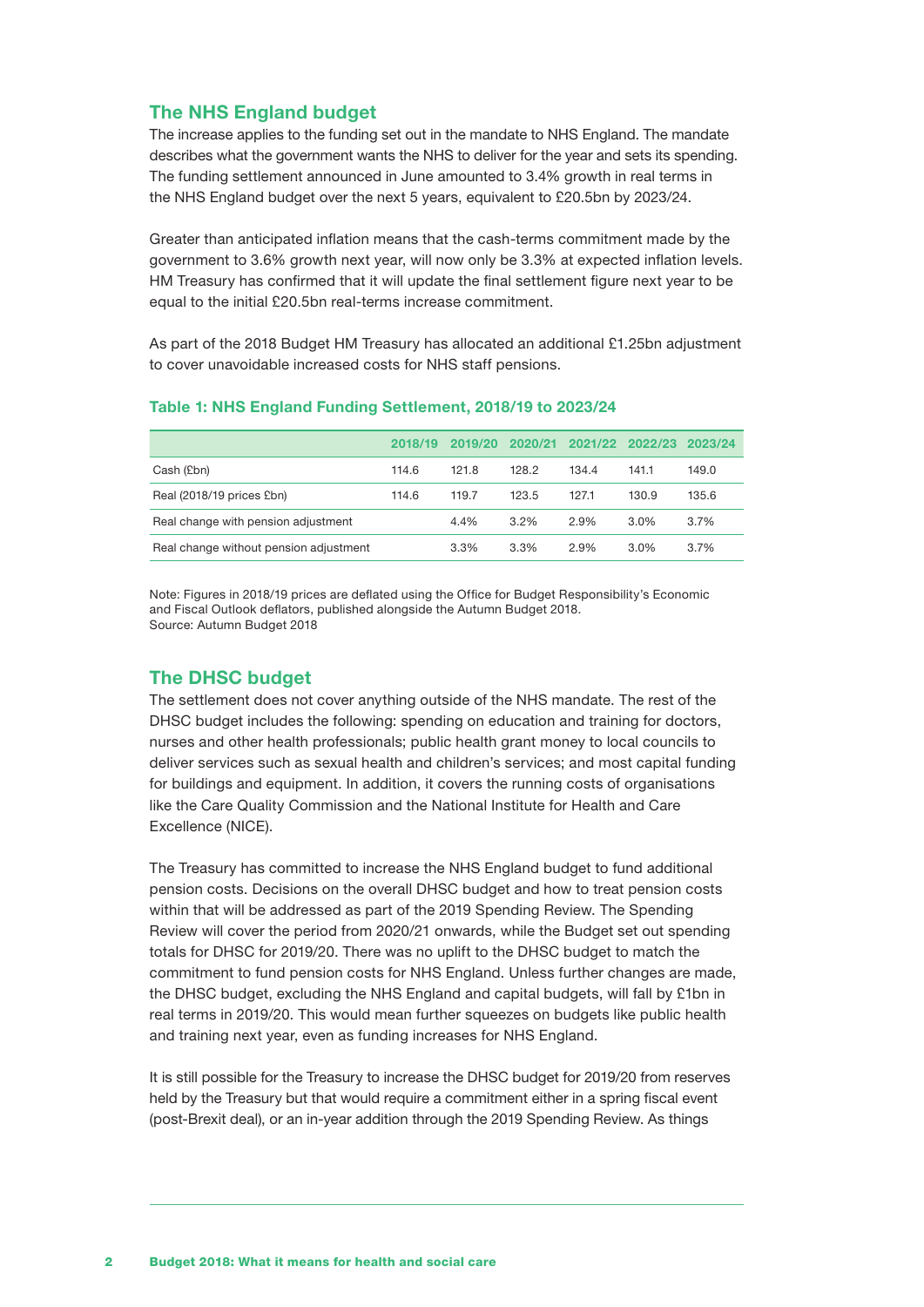### The NHS England budget

The increase applies to the funding set out in the mandate to NHS England. The mandate describes what the government wants the NHS to deliver for the year and sets its spending. The funding settlement announced in June amounted to 3.4% growth in real terms in the NHS England budget over the next 5 years, equivalent to £20.5bn by 2023/24.

Greater than anticipated inflation means that the cash-terms commitment made by the government to 3.6% growth next year, will now only be 3.3% at expected inflation levels. HM Treasury has confirmed that it will update the final settlement figure next year to be equal to the initial £20.5bn real-terms increase commitment.

As part of the 2018 Budget HM Treasury has allocated an additional £1.25bn adjustment to cover unavoidable increased costs for NHS staff pensions.

|                                        | 2018/19 | 2019/20 | 2020/21 |       | 2021/22 2022/23 | 2023/24 |
|----------------------------------------|---------|---------|---------|-------|-----------------|---------|
| Cash (£bn)                             | 114.6   | 121.8   | 128.2   | 134.4 | 141.1           | 149.0   |
| Real (2018/19 prices £bn)              | 114.6   | 119.7   | 123.5   | 127.1 | 130.9           | 135.6   |
| Real change with pension adjustment    |         | 4.4%    | $3.2\%$ | 2.9%  | $3.0\%$         | $3.7\%$ |
| Real change without pension adjustment |         | 3.3%    | 3.3%    | 2.9%  | $3.0\%$         | 3.7%    |
|                                        |         |         |         |       |                 |         |

#### Table 1: NHS England Funding Settlement, 2018/19 to 2023/24

Note: Figures in 2018/19 prices are deflated using the Office for Budget Responsibility's Economic and Fiscal Outlook deflators, published alongside the Autumn Budget 2018. Source: Autumn Budget 2018

### The DHSC budget

The settlement does not cover anything outside of the NHS mandate. The rest of the DHSC budget includes the following: spending on education and training for doctors, nurses and other health professionals; public health grant money to local councils to deliver services such as sexual health and children's services; and most capital funding for buildings and equipment. In addition, it covers the running costs of organisations like the Care Quality Commission and the National Institute for Health and Care Excellence (NICE).

The Treasury has committed to increase the NHS England budget to fund additional pension costs. Decisions on the overall DHSC budget and how to treat pension costs within that will be addressed as part of the 2019 Spending Review. The Spending Review will cover the period from 2020/21 onwards, while the Budget set out spending totals for DHSC for 2019/20. There was no uplift to the DHSC budget to match the commitment to fund pension costs for NHS England. Unless further changes are made, the DHSC budget, excluding the NHS England and capital budgets, will fall by £1bn in real terms in 2019/20. This would mean further squeezes on budgets like public health and training next year, even as funding increases for NHS England.

It is still possible for the Treasury to increase the DHSC budget for 2019/20 from reserves held by the Treasury but that would require a commitment either in a spring fiscal event (post-Brexit deal), or an in-year addition through the 2019 Spending Review. As things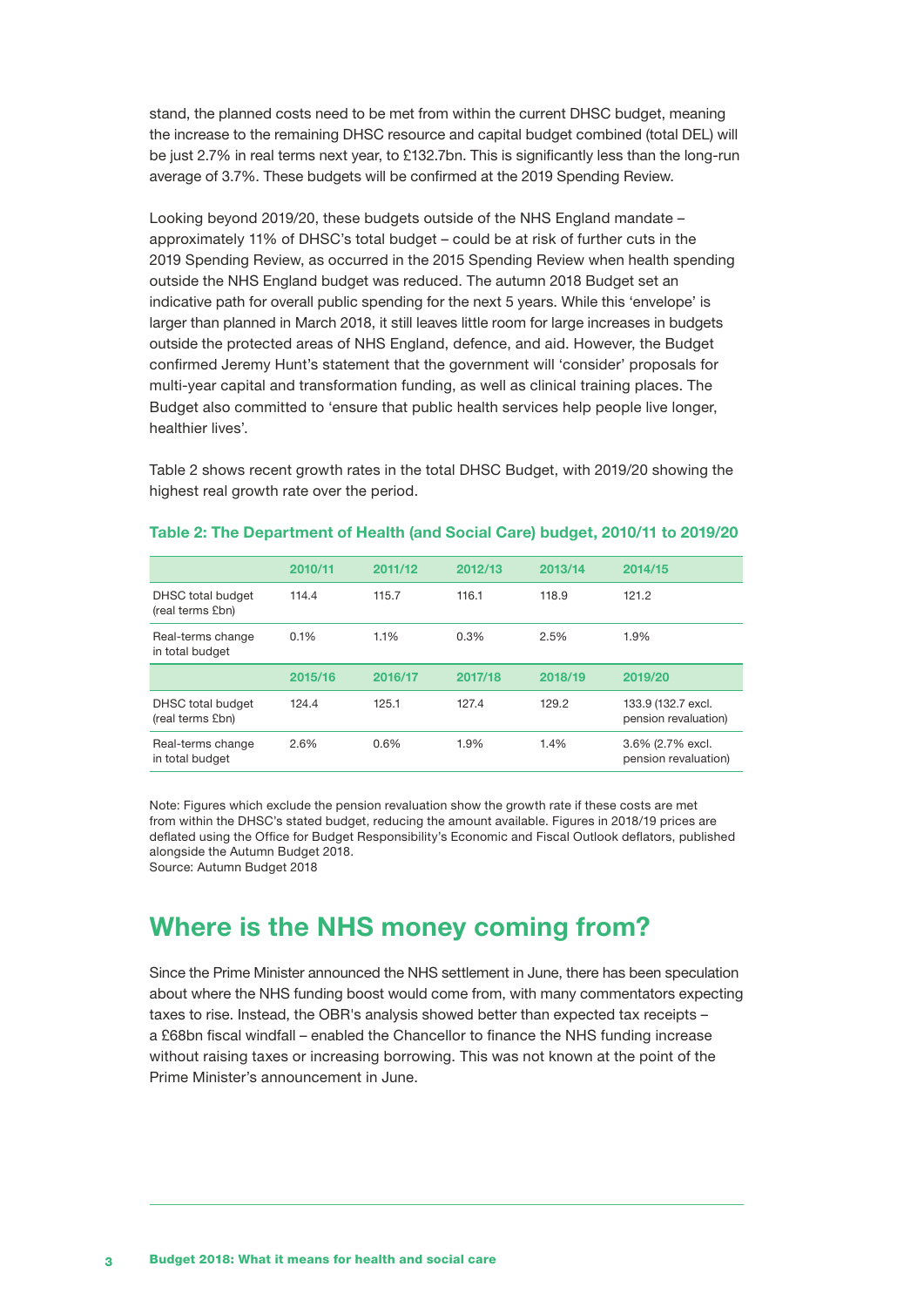stand, the planned costs need to be met from within the current DHSC budget, meaning the increase to the remaining DHSC resource and capital budget combined (total DEL) will be just 2.7% in real terms next year, to £132.7bn. This is significantly less than the long-run average of 3.7%. These budgets will be confirmed at the 2019 Spending Review.

Looking beyond 2019/20, these budgets outside of the NHS England mandate – approximately 11% of DHSC's total budget – could be at risk of further cuts in the 2019 Spending Review, as occurred in the 2015 Spending Review when health spending outside the NHS England budget was reduced. The autumn 2018 Budget set an indicative path for overall public spending for the next 5 years. While this 'envelope' is larger than planned in March 2018, it still leaves little room for large increases in budgets outside the protected areas of NHS England, defence, and aid. However, the Budget confirmed Jeremy Hunt's statement that the government will 'consider' proposals for multi-year capital and transformation funding, as well as clinical training places. The Budget also committed to 'ensure that public health services help people live longer, healthier lives'.

Table 2 shows recent growth rates in the total DHSC Budget, with 2019/20 showing the highest real growth rate over the period.

|                                       | 2010/11 | 2011/12 | 2012/13 | 2013/14 | 2014/15                                    |
|---------------------------------------|---------|---------|---------|---------|--------------------------------------------|
| DHSC total budget<br>(real terms £bn) | 114.4   | 115.7   | 116.1   | 118.9   | 121.2                                      |
| Real-terms change<br>in total budget  | 0.1%    | 1.1%    | 0.3%    | 2.5%    | 1.9%                                       |
|                                       |         |         |         |         |                                            |
|                                       | 2015/16 | 2016/17 | 2017/18 | 2018/19 | 2019/20                                    |
| DHSC total budget<br>(real terms £bn) | 124.4   | 125.1   | 127.4   | 129.2   | 133.9 (132.7 excl.<br>pension revaluation) |

#### Table 2: The Department of Health (and Social Care) budget, 2010/11 to 2019/20

Note: Figures which exclude the pension revaluation show the growth rate if these costs are met from within the DHSC's stated budget, reducing the amount available. Figures in 2018/19 prices are deflated using the Office for Budget Responsibility's Economic and Fiscal Outlook deflators, published alongside the Autumn Budget 2018.

Source: Autumn Budget 2018

# Where is the NHS money coming from?

Since the Prime Minister announced the NHS settlement in June, there has been speculation about where the NHS funding boost would come from, with many commentators expecting taxes to rise. Instead, the OBR's analysis showed better than expected tax receipts – a £68bn fiscal windfall – enabled the Chancellor to finance the NHS funding increase without raising taxes or increasing borrowing. This was not known at the point of the Prime Minister's announcement in June.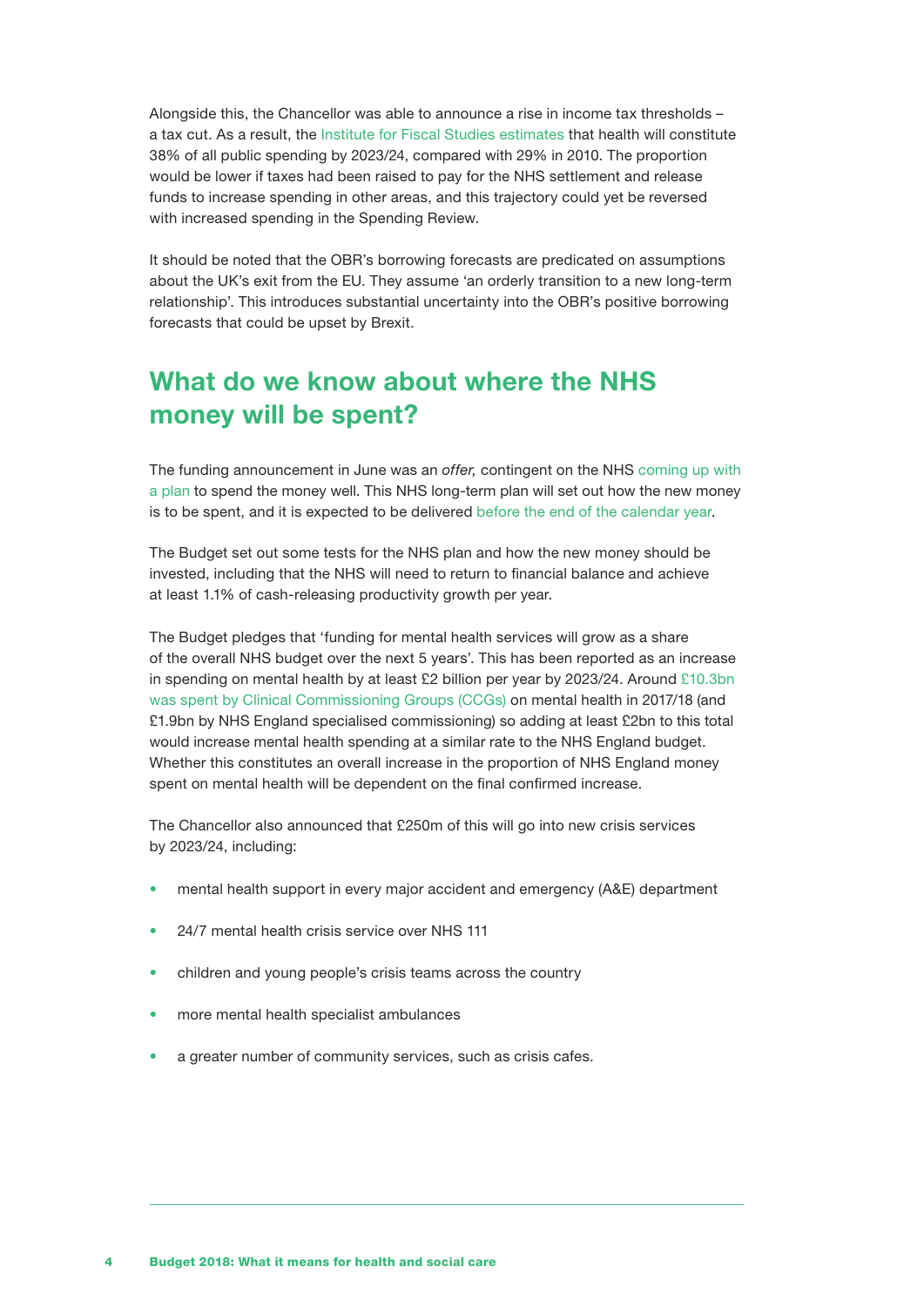Alongside this, the Chancellor was able to announce a rise in income tax thresholds – a tax cut. As a result, the [Institute for Fiscal Studies estimates](https://www.ifs.org.uk/tools_and_resources/budget/526) that health will constitute 38% of all public spending by 2023/24, compared with 29% in 2010. The proportion would be lower if taxes had been raised to pay for the NHS settlement and release funds to increase spending in other areas, and this trajectory could yet be reversed with increased spending in the Spending Review.

It should be noted that the OBR's borrowing forecasts are predicated on assumptions about the UK's exit from the EU. They assume 'an orderly transition to a new long-term relationship'. This introduces substantial uncertainty into the OBR's positive borrowing forecasts that could be upset by Brexit.

# What do we know about where the NHS money will be spent?

The funding announcement in June was an *offer,* contingent on the NHS [coming up with](https://www.gov.uk/government/speeches/pm-speech-on-the-nhs-18-june-2018)  [a plan](https://www.gov.uk/government/speeches/pm-speech-on-the-nhs-18-june-2018) to spend the money well. This NHS long-term plan will set out how the new money is to be spent, and it is expected to be delivered [before the end of the calendar year.](https://www.gov.uk/government/publications/budget-2018-documents/budget-2018)

The Budget set out some tests for the NHS plan and how the new money should be invested, including that the NHS will need to return to financial balance and achieve at least 1.1% of cash-releasing productivity growth per year.

The Budget pledges that 'funding for mental health services will grow as a share of the overall NHS budget over the next 5 years'. This has been reported as an increase in spending on mental health by at least £2 billion per year by 2023/24. Aroun[d £10.3bn](https://www.england.nhs.uk/publication/mental-health-five-year-forward-view-dashboard/)  [was spent by Clinical Commissioning Groups \(CCGs\)](https://www.england.nhs.uk/publication/mental-health-five-year-forward-view-dashboard/) on mental health in 2017/18 (and £1.9bn by NHS England specialised commissioning) so adding at least £2bn to this total would increase mental health spending at a similar rate to the NHS England budget. Whether this constitutes an overall increase in the proportion of NHS England money spent on mental health will be dependent on the final confirmed increase.

The Chancellor also announced that £250m of this will go into new crisis services by 2023/24, including:

- mental health support in every major accident and emergency (A&E) department
- 24/7 mental health crisis service over NHS 111
- children and young people's crisis teams across the country
- more mental health specialist ambulances
- a greater number of community services, such as crisis cafes.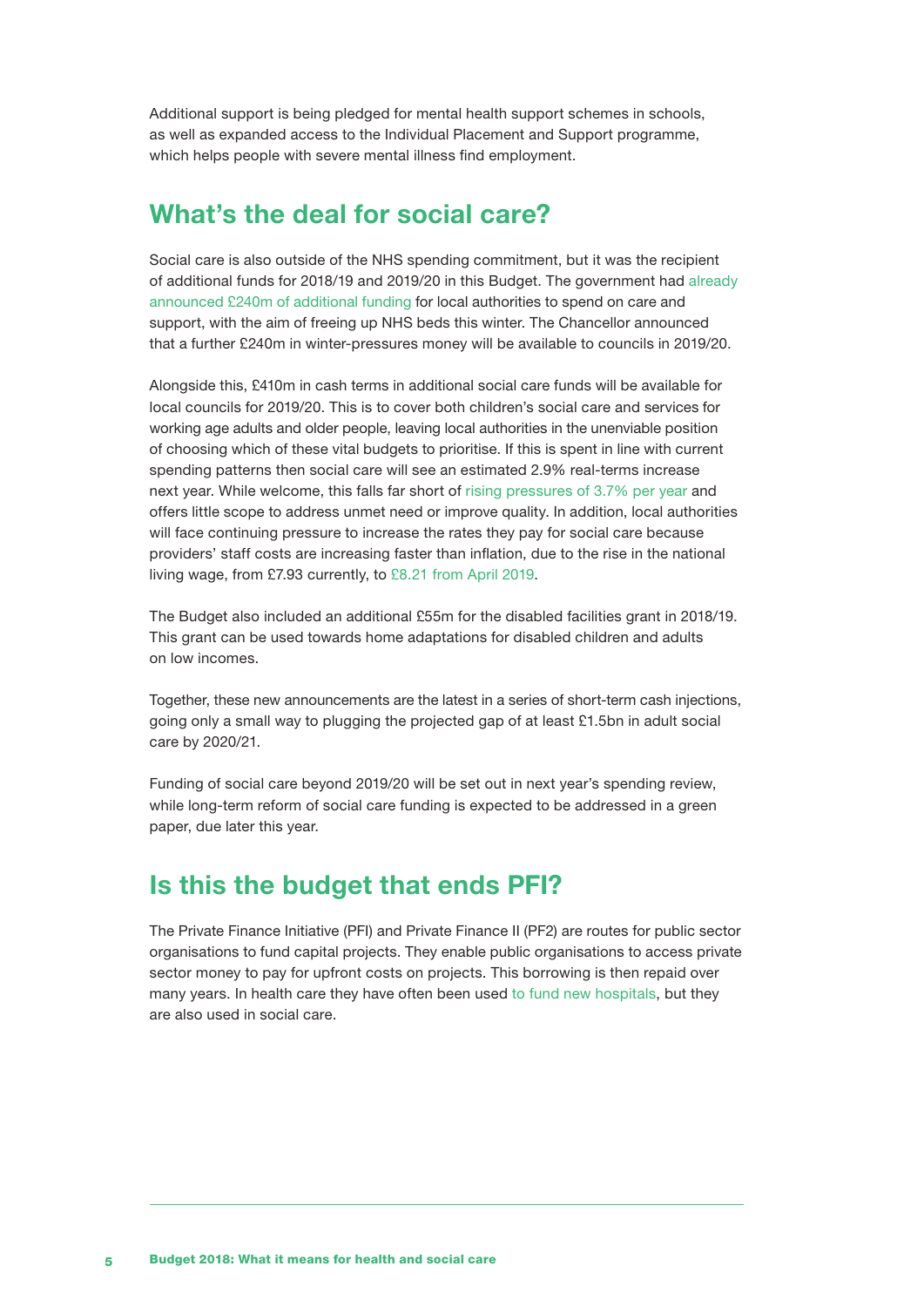Additional support is being pledged for mental health support schemes in schools, as well as expanded access to the Individual Placement and Support programme, which helps people with severe mental illness find employment.

### What's the deal for social care?

Social care is also outside of the NHS spending commitment, but it was the recipient of additional funds for 2018/19 and 2019/20 in this Budget. The government had [already](https://www.gov.uk/government/news/240-million-social-care-investment-to-ease-nhs-winter-pressures)  [announced £240m of additional funding](https://www.gov.uk/government/news/240-million-social-care-investment-to-ease-nhs-winter-pressures) for local authorities to spend on care and support, with the aim of freeing up NHS beds this winter. The Chancellor announced that a further £240m in winter-pressures money will be available to councils in 2019/20.

Alongside this, £410m in cash terms in additional social care funds will be available for local councils for 2019/20. This is to cover both children's social care and services for working age adults and older people, leaving local authorities in the unenviable position of choosing which of these vital budgets to prioritise. If this is spent in line with current spending patterns then social care will see an estimated 2.9% real-terms increase next year. While welcome, this falls far short of [rising pressures of 3.7% per year](https://www.health.org.uk/publication/fork-road-next-steps-social-care-funding-reform) and offers little scope to address unmet need or improve quality. In addition, local authorities will face continuing pressure to increase the rates they pay for social care because providers' staff costs are increasing faster than inflation, due to the rise in the national living wage, from £7.93 currently, to [£8.21 from April 2019](https://www.gov.uk/national-minimum-wage-rates).

The Budget also included an additional £55m for the disabled facilities grant in 2018/19. This grant can be used towards home adaptations for disabled children and adults on low incomes.

Together, these new announcements are the latest in a series of short-term cash injections, going only a small way to plugging the [projected gap](https://www.health.org.uk/publication/fork-road-next-steps-social-care-funding-reform) of at least £1.5bn in adult social care by 2020/21.

Funding of social care beyond 2019/20 will be set out in next year's spending review, while long-term reform of social care funding is expected to be addressed in a green paper, due later this year.

## Is this the budget that ends PFI?

The Private Finance Initiative (PFI) and Private Finance II (PF2) are routes for public sector organisations to fund capital projects. They enable public organisations to access private sector money to pay for upfront costs on projects. This borrowing is then repaid over many years. In health care they have often been used [to fund new hospitals,](https://www.nuffieldtrust.org.uk/resource/making-sense-of-pfi) but they are also used in social care.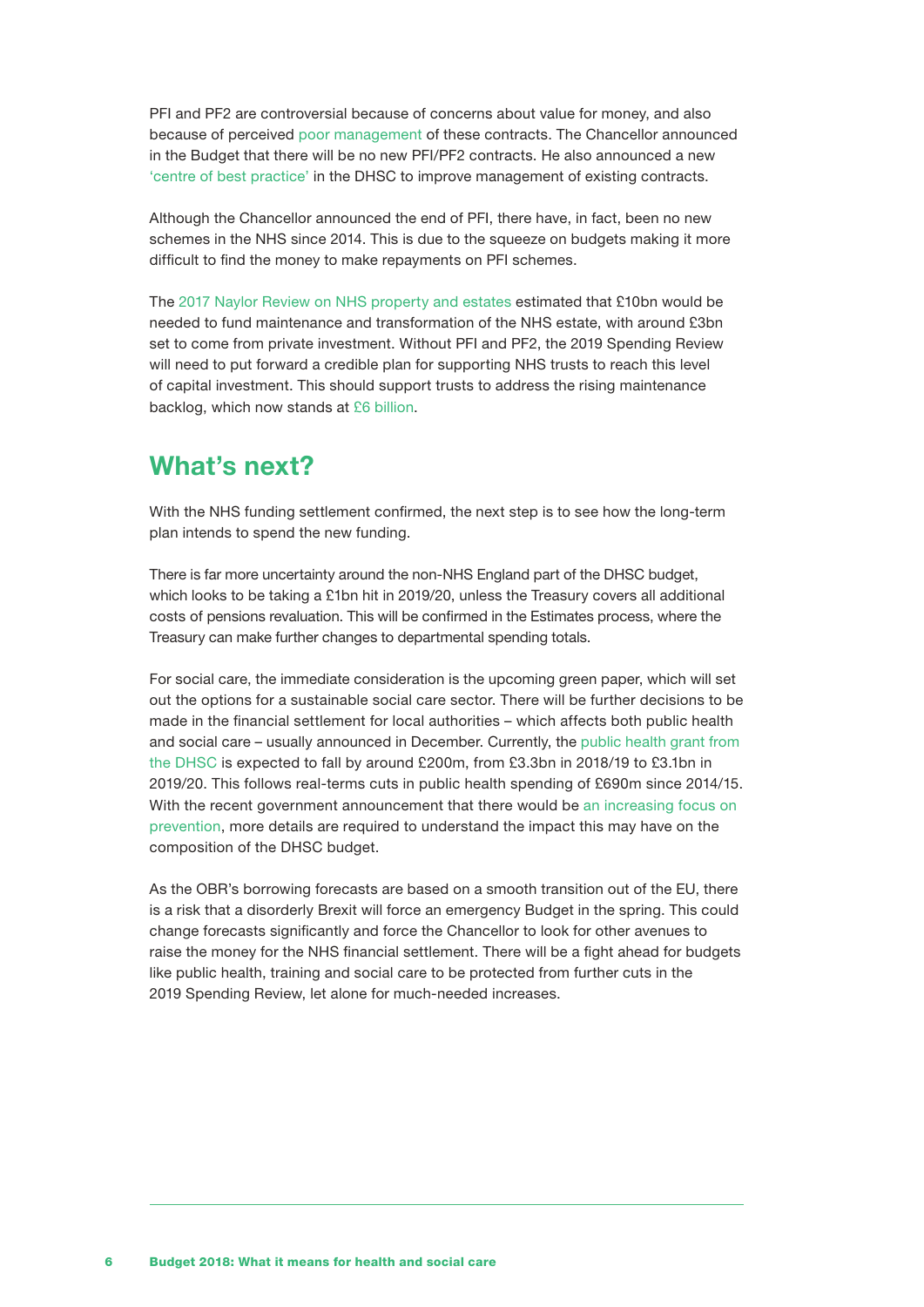PFI and PF2 are controversial because of concerns about value for money, and also because of perceived [poor management](http://www.publicsectorexecutive.com/Public-Sector-News/controversial-pfi-contracts-abolished-by-chancellor-in-budget-announcement) of these contracts. The Chancellor announced in the Budget that there will be no new PFI/PF2 contracts. He also announced a new ['centre of best practice'](https://www.gov.uk/government/publications/budget-2018-documents/budget-2018) in the DHSC to improve management of existing contracts.

Although the Chancellor announced the end of PFI, there have, in fact, been no new schemes in the NHS since 2014. This is due to the squeeze on budgets making it more difficult to find the money to make repayments on PFI schemes.

The [2017 Naylor Review on NHS property and estates](https://www.gov.uk/government/publications/nhs-property-and-estates-naylor-review) estimated that £10bn would be needed to fund maintenance and transformation of the NHS estate, with around £3bn set to come from private investment. Without PFI and PF2, the 2019 Spending Review will need to put forward a credible plan for supporting NHS trusts to reach this level of capital investment. This should support trusts to address the rising maintenance backlog, which now stands at [£6 billio](https://digital.nhs.uk/data-and-information/publications/statistical/estates-returns-information-collection/summary-page-and-dataset-for-eric-2017-18)n.

### What's next?

With the NHS funding settlement confirmed, the next step is to see how the long-term plan intends to spend the new funding.

There is far more uncertainty around the non-NHS England part of the DHSC budget, which looks to be taking a £1bn hit in 2019/20, unless the Treasury covers all additional costs of pensions revaluation. This will be confirmed in the Estimates process, where the Treasury can make further changes to departmental spending totals.

For social care, the immediate consideration is the upcoming green paper, which will set out the options for a sustainable social care sector. There will be further decisions to be made in the financial settlement for local authorities – which affects both public health and social care – usually announced in December. Currently, the [public health grant from](https://www.health.org.uk/sites/health/files/Taking%20our%20health%20for%20granted_for%20web.pdf)  [the DHSC](https://www.health.org.uk/sites/health/files/Taking%20our%20health%20for%20granted_for%20web.pdf) is expected to fall by around £200m, from £3.3bn in 2018/19 to £3.1bn in 2019/20. This follows real-terms cuts in public health spending of £690m since 2014/15. With the recent government announcement that there would be an increasing focus on [prevention](https://assets.publishing.service.gov.uk/government/uploads/system/uploads/attachment_data/file/753688/Prevention_is_better_than_cure_5-11.pdf), more details are required to understand the impact this may have on the composition of the DHSC budget.

As the OBR's borrowing forecasts are based on a smooth transition out of the EU, there is a risk that a disorderly Brexit will force an emergency Budget in the spring. This could change forecasts significantly and force the Chancellor to look for other avenues to raise the money for the NHS financial settlement. There will be a fight ahead for budgets like public health, training and social care to be protected from further cuts in the 2019 Spending Review, let alone for much-needed increases.